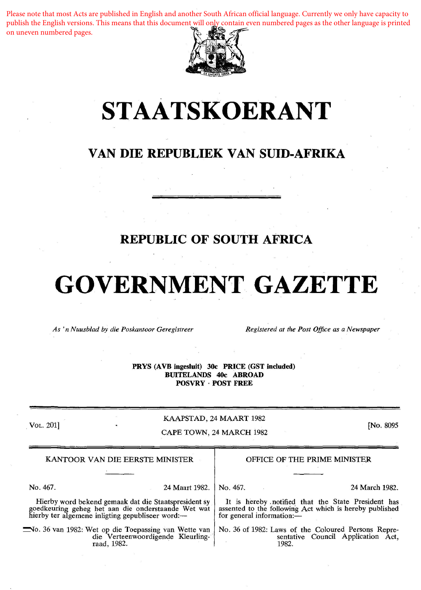publish the English versions. This means that this document will only contain even numbered pages as the other language is printed Please note that most Acts are published in English and another South African official language. Currently we only have capacity to on uneven numbered pages.



# **STAATSKOERANT**

## **VAN DIE REPUBLIEK VAN SUID-AFRIKA**

## **REPUBLIC OF SOUTH AFRICA**

## **GOVERNMENT GAZETTE**

*As 'n Nuusblad by die Poskantoor Geregistreer Registered at the Post Office as a Newspaper* 

PRYS (AVB ingesluit) 30c PRICE (GST included) BUITELANDS 40c ABROAD POSVRY · POST FREE

. VOL. 201]

### KAAPSTAD, 24 MAART 1982 CAPE TOWN, 24 MARCH 1982

[No. 8095

| KANTOOR VAN DIE EERSTE MINISTER                                                                                                                                |                | OFFICE OF THE PRIME MINISTER                                                                                                               |                                        |
|----------------------------------------------------------------------------------------------------------------------------------------------------------------|----------------|--------------------------------------------------------------------------------------------------------------------------------------------|----------------------------------------|
|                                                                                                                                                                |                |                                                                                                                                            |                                        |
| No. 467.                                                                                                                                                       | 24 Maart 1982. | $N_{\rm O}$ , 467.                                                                                                                         | 24 March 1982.                         |
| Hierby word bekend gemaak dat die Staatspresident sy<br>goedkeuring geheg het aan die onderstaande Wet wat<br>hierby ter algemene inligting gepubliseer word:— |                | It is hereby notified that the State President has<br>assented to the following Act which is hereby published<br>for general information:- |                                        |
|                                                                                                                                                                |                |                                                                                                                                            | $\mathbf{M} = \mathbf{M} - \mathbf{M}$ |

~o. 36 van 1982: Wet op die Toepassing van Wette van die Verteenwoordigende Kleurlingraad, 1982.

No. 36 of 1982: Laws of the Coloured Persons Repre sentative Council Application Act 1982.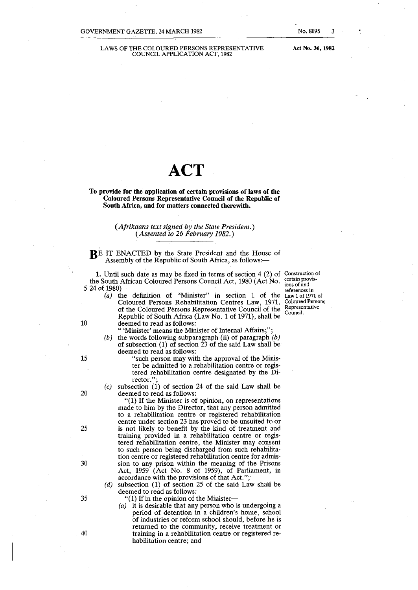LAWS OF THE COLOURED PERSONS REPRESENTATIVE COUNCIL APPLICATION ACT, 1982

Act No. 36, 1982

No. 8095 3

## **ACT**

To provide for the application of certain provisions of laws of the Coloured Persons Representative Council of the Republic of South Africa, and for matters connected therewith.

#### *(Afrikaans text signed* by *the State President.) (Assented to 26 February 1982.)*

RE IT ENACTED by the State President and the House of Assembly of the Republic of South Africa, as follows:-

1. Until such date as may be fixed in terms of section  $4(2)$  of Construction of the South African Coloured Persons Council Act, 1980 (Act No. 5 24 of 1980)-

*(a)* the definition of "Minister" in section 1 of the Coloured Persons Rehabilitation Centres Law, 1971, of the Coloured Persons Representative Council of the Republic of South Africa (Law No. 1 of 1971), shall be 10 deemed to read as follows:

" 'Minister' means the Minister of Internal Affairs;

- (b) the words following subparagraph (ii) of paragraph  $(b)$ of subsection  $(1)$  of section  $\tilde{2}3$  of the said Law shall be deemed to read as follows:
- 15 "such person may with the approval of the Minister be admitted to a rehabilitation centre or registered rehabilitation centre designated by the Director."
- $(c)$  subsection  $(1)$  of section 24 of the said Law shall be 20 deemed to read as follows:

"(1) If the Minister is of opinion, on representations made to him by the Director, that any person admitted to a rehabilitation centre or registered rehabilitation centre under section 23 has proved to be unsuited to or 25 is not likely to benefit by the kind of treatment and training provided in a rehabilitation centre or registered rehabilitation centre, the Minister may consent to such person being discharged from such rehabilitation centre or registered rehabilitation centre for admis-30 sion to any prison within the meaning of the Prisons Act, 1959 (Act No. 8 of 1959), of Parliament, in accordance with the provisions of that Act.";

- (d) subsection (1) of section 25 of the said Law shall be deemed to read as follows:
- 35 "(1) If in the opinion of the Minister-
- *( a)* it is desirable that any person who is undergoing a period of detention in a children's home, school of industries or reform school should, before he is returned to the community, receive treatment or 40 training in a rehabilitation centre or registered rehabilitation centre; and

certain provisions of and references in Law 1 of 1971 of Coloured Persons Representative Council.

- -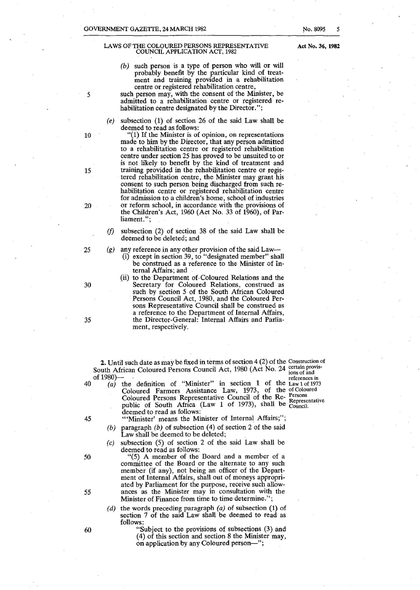#### LAWS OF THE COLOURED PERSONS REPRESENTATIVE COUNCIL APPLICATION ACT, 1982

- (b) such person is a type of person who will or will probably benefit by the particular kind of treatment and training provided in a rehabilitation centre or registered rehabilitation centre,
- 5 such person may, with the consent of the Minister, be admitted to a rehabilitation centre or registered rehabilitation centre designated by the Director.";
	- (e) subsection (1) of section 26 of the said Law shall be deemed to read as follows:

10 "(1) If the Minister is of opinion, on representations made to him by the Director, that any person admitted to a rehabilitation centre or registered rehabilitation centre under section 25 has proved to be unsuited to or is not likely to benefit by the kind of treatment and 15 training provided in the rehabilitation centre or registered rehabilitation centre, the Minister may grant his consent to such person being discharged from such rehabilitation centre or registered rehabilitation centre for admission to a children's home, school of industries 20 or reform school, in accordance with the provisions of the Children's Act, 1960 (Act No. 33 of 1960), of Parliament.";

> *(f)* subsection (2) of section 38 of the said Law shall be deemed to be deleted; and

25 (g) any reference in any other provision of the said Law-

- (i) except in section 39, to "designated member" shall be construed as a reference to the Minister of Internal Affairs; and
- (ii) to the Department of-Coloured Relations and the 30 Secretary for Coloured Relations, construed as such by section 5 of the South African Coloured Persons Council Act, 1980, and the Coloured Persons Representative Council shall be construed as a reference to the Department of Internal Affairs, 35 the Director-General: Internal Affairs and Parliament, respectively.

2. Until such date as may be fixed in terms of section  $4(2)$  of the Construction of South African Coloured Persons Council Act, 1980 (Act No. 24  $\frac{\text{certan provis}}{\text{long of end}}$  $\frac{100 \text{ s}}{200 \text{ s}}$  references in of 1980)—<br>40 (a) the definition of "Minister" in section 1 of the Law 1 of 1973

Coloured Farmers Assistance Law, 1973, of the ofColoured<br>Coloured Barress Barresspectrive Council of the Be- Persons Coloured Persons Representative Council of the Re- Persons public of South Africa (Law 1 of 1973), shall be Council. deemed to read as follows:

45 "'Minister' means the Minister of Internal Affairs;";

- (b) paragraph  $(b)$  of subsection (4) of section 2 of the said Law shall be deemed to be deleted;
- (c) subsection (5) of section 2 of the said Law shall be deemed to read as follows:

50 "(5) A member of the Board and a member of a committee of the Board or the alternate to any such member (if any), not being an officer of the Department of Internal Affairs, shall out of moneys appropriated by Parliament for the purpose, receive such allow-55 ances as the Minister may in consultation with the Minister of Finance from time to time determine.";

- (d) the words preceding paragraph  $(a)$  of subsection  $(1)$  of section 7 of the said Law shall be deemed to read as follows:
- 60 "Subject to the provisions of subsections (3) and ( 4) of this section and section 8 the Minister may, on application by any Coloured person-";

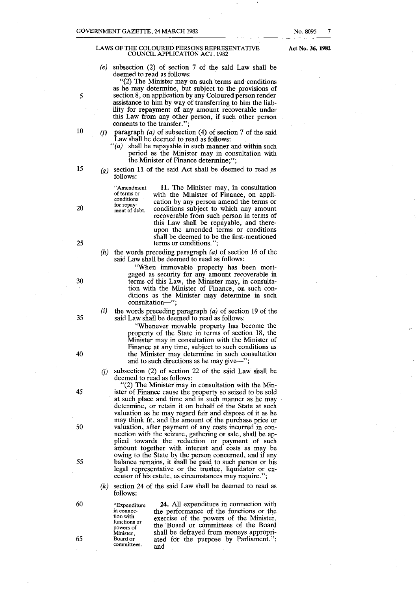#### LAWS OF THE COLOURED PERSONS REPRESENTATIVE COUNCIL APPLICATION ACT, 1982

Act No. 36, 1982

(e) subsection (2) of section 7 of the said Law shall be deemed to read as follows:

"(2) The Minister may on such terms and conditions as he may determine, but subject to the provisions of section 8, on application by any Coloured person render assistance to him by way of transferring to him the liability for repayment of any amount recoverable under this Law from any other person, if such other person consents to the transfer.";

- *(f)* paragraph  $(a)$  of subsection  $(4)$  of section 7 of the said Law shall be deemed to read as follows:
	- $f'(a)$  shall be repayable in such manner and within such period as the Minister may in consultation with the Minister of Finance determine;";
- $(g)$  section 11 of the said Act shall be deemed to read as follows:

**of terms or conditions**  for repayment of debt.

**"Amendment** 

11. The Minister may, in consultation with the Minister of Finance, on application by any person amend the terms or conditions subject to which any amount recoverable from such person in terms of this Law shall be repayable, and thereupon the amended terms or conditions shall be deemed to be the first-mentioned terms or conditions.'

*(h)*  the words preceding paragraph (a) of section 16 of the said Law shall be deemed to read as follows:

> "When immovable property has been mortgaged as security for any amount recoverable in terms of this Law, the Minister may, in consultation with the Minister of Finance, on such conditions as the Minister may determine in such consultation-"

(i) the words preceding paragraph (a) of section 19 of the said Law shall be deemed to read as follows:

> "Whenever movable property has become the property of the· State in terms of section 18, the Minister may in consultation with the Minister of Finance at any time, subject to such conditions as the Minister may determine in such consultation and to such directions as he may give-";

(i) subsection  $(2)$  of section 22 of the said Law shall be deemed to read as follows:

 $(2)$  The Minister may in consultation with the Minister of Finance cause the property so seized to be sold at such place and time and in such manner as he may determine, or retain it on behalf of the State at such valuation as he may regard fair and dispose of it as he may think fit, and the amount of the purchase price or valuation, after payment of any costs incurred in connection with the seizure, gathering or sale, shall be applied towards the reduction or payment of such amount together with interest and costs as may be owing to the State by the person concerned, and if any balance remains, it shall be paid\_ to such person or his legal representative or the trustee, liquidator or executor of his estate, as circumstances may require.";

- (k) section 24 of the said Law shall be deemed to read as follows:
- 60 65

**"Expenditure**  in connec **tion with functions or powers of Minister, Board or committees.** 

24. All expenditure in connection with the performance of the functions or the exercise of the powers of the Minister, the Board or committees of the Board shall be defrayed from moneys appropriated for the purpose by Parliament."; and

20

*5* 

10

15

25

- 30
	-

35

- 
- 

40

45

50

55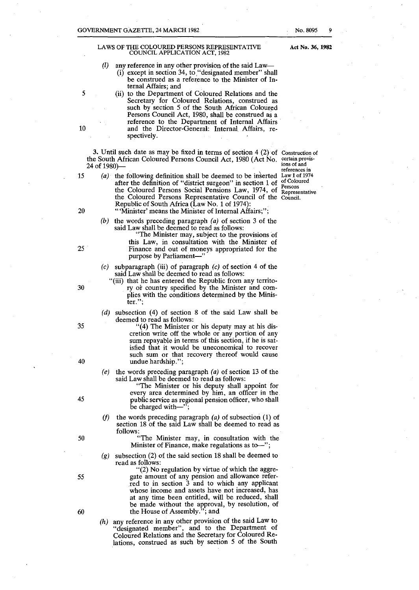### LAWS OF 1HE COLOURED PERSONS REPRESENTATIVE COUNCIL APPLICATION ACT, 1982

No. 8095

- *(l)* any reference in any other provision of the said Law-  $(i)$  except in section 34, to, "designated member" shall be construed as a reference to the Minister of Internal Affairs; and
- 5 (ii) to the Department of Coloured Relations and the Secretary for Coloured Relations, construed as such by section 5 of the South African Coloured Persons Council Act, 1980, shall be construed as a 10 and the Director-General: Internal Affairs, respectively.

3. Until such date as may be fixed in terms of section 4 (2) of Construction of the South African Coloured Persons Council Act, 1980 (Act No. 24 of 1980)-

15 (a) the following definition shall be deemed to be inserted  $\text{Law 1 of } 1974$ after the definition of "district surgeon" in section 1 of the Coloured Persons Social Pensions Law, 1974, of **Representative**  the Coloured Persons Representative Council of the Council. Republic of South Africa (Law No. 1 of 1974):

**certain provisions of and references in**  of Coloured **Persons** 

20 "Winister' means the Minister of Internal Affairs;";

- (b) the words preceding paragraph  $(a)$  of section 3 of the said Law shall be deemed to read as follows:
- "The Minister may, subject to the provisions of this Law, in consultation with the Minister of 25 Finance and out of moneys appropriated for the purpose by Parliament-
	- $(c)$  subparagraph (iii) of paragraph  $(c)$  of section 4 of the said Law shall be deemed to read as follows:
- "(iii) that he has entered the Republic from any territo-30 **ry or country specified by the Minister and com**plies with the conditions determined by the Minis**ter.";** 
	- (*d*) subsection (4) of section 8 of the said Law shall be deemed to read as follows:
- 35 "( 4) The Minister or his deputy may at his discretion write off the whole or any portion of any sum repayable in terms of this section, if he is satisfied that it would be uneconomical to recover such sum or that recovery thereof would cause 40 undue hardship.";
	- (e) the words preceding paragraph  $(a)$  of section 13 of the said Law shall be deemed to read as follows:

"The Minister or his deputy shall appoint for every area determined by him, an officer in the public service as regional pension officer, who shall be charged with-

- *(f)* the words preceding paragraph (a) of subsection (1) of section 18 of the said Law shall be deemed to read as follows:
- 50 "The Minister may, in consultation with the Minister of Finance, make regulations as to $-$ ";
	- (g) subsection (2) of the said section 18 shall be deemed to read as follows:

"(2) No regulation by virtue of which the aggre-55 gate amount of any pension and allowance referred to in section 3 and to which any applicant whose income and assets have not increased, has at any time been entitled, will be reduced, shall be made without the approval, by resolution, of 60 the House of Assembly."; and

> (h) any reference in any other provision of the said Law to "designated member", and to the Department of Coloured Relations and the Secretary for Coloured Relations, construed as such by section 5 of the South

45